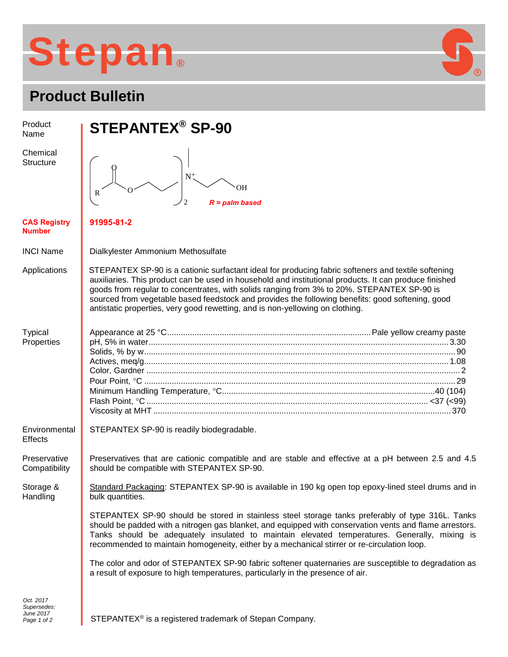## **Stepan ®**



| Proquet Bulletin                     |                                                                                                                                                                                                                                                                                                                                                                                                                                                                                                  |
|--------------------------------------|--------------------------------------------------------------------------------------------------------------------------------------------------------------------------------------------------------------------------------------------------------------------------------------------------------------------------------------------------------------------------------------------------------------------------------------------------------------------------------------------------|
| Product<br>Name                      | <b>STEPANTEX<sup>®</sup> SP-90</b>                                                                                                                                                                                                                                                                                                                                                                                                                                                               |
| Chemical<br><b>Structure</b>         | <b>OH</b><br>R<br>$R =$ palm based                                                                                                                                                                                                                                                                                                                                                                                                                                                               |
| <b>CAS Registry</b><br><b>Number</b> | 91995-81-2                                                                                                                                                                                                                                                                                                                                                                                                                                                                                       |
| <b>INCI Name</b>                     | Dialkylester Ammonium Methosulfate                                                                                                                                                                                                                                                                                                                                                                                                                                                               |
| Applications                         | STEPANTEX SP-90 is a cationic surfactant ideal for producing fabric softeners and textile softening<br>auxiliaries. This product can be used in household and institutional products. It can produce finished<br>goods from regular to concentrates, with solids ranging from 3% to 20%. STEPANTEX SP-90 is<br>sourced from vegetable based feedstock and provides the following benefits: good softening, good<br>antistatic properties, very good rewetting, and is non-yellowing on clothing. |
| <b>Typical</b><br>Properties         |                                                                                                                                                                                                                                                                                                                                                                                                                                                                                                  |
| Environmental<br><b>Effects</b>      | STEPANTEX SP-90 is readily biodegradable.                                                                                                                                                                                                                                                                                                                                                                                                                                                        |
| Preservative<br>Compatibility        | Preservatives that are cationic compatible and are stable and effective at a pH between 2.5 and 4.5<br>should be compatible with STEPANTEX SP-90.                                                                                                                                                                                                                                                                                                                                                |
| Storage &<br>Handling                | Standard Packaging: STEPANTEX SP-90 is available in 190 kg open top epoxy-lined steel drums and in<br>bulk quantities.                                                                                                                                                                                                                                                                                                                                                                           |
|                                      | STEPANTEX SP-90 should be stored in stainless steel storage tanks preferably of type 316L. Tanks<br>should be padded with a nitrogen gas blanket, and equipped with conservation vents and flame arrestors.<br>Tanks should be adequately insulated to maintain elevated temperatures. Generally, mixing is<br>recommended to maintain homogeneity, either by a mechanical stirrer or re-circulation loop.                                                                                       |
|                                      | The color and odor of STEPANTEX SP-90 fabric softener quaternaries are susceptible to degradation as<br>a result of exposure to high temperatures, particularly in the presence of air.                                                                                                                                                                                                                                                                                                          |
| Oct. 2017                            |                                                                                                                                                                                                                                                                                                                                                                                                                                                                                                  |

)<br>⑧

*Supersedes: June 2017 Page 1 of 2*

STEPANTEX<sup>®</sup> is a registered trademark of Stepan Company.